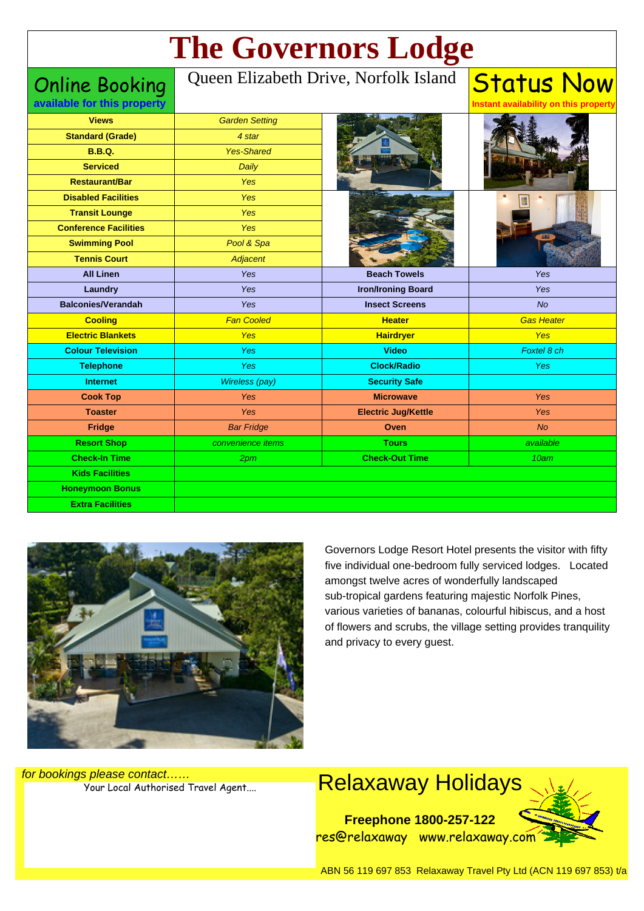# **The Governors Lodge**

Online Booking **available for this property**

#### Queen Elizabeth Drive, Norfolk Island

**Views Standard (Grade) B.B.Q. Serviced Restaurant/Bar Disabled Facilities Transit Lounge Conference Facilities Swimming Pool Tennis Court All Linen Laundry Balconies/Verandah Cooling Electric Blankets Colour Television Telephone Internet Cook Top Toaster Fridge Resort Shop Check-In Time Kids Facilities Honeymoon Bonus Extra Facilities** Garden Setting 4 star Yes-Shared Daily Yes Yes Yes Yes Pool & Spa **Adiacent** Yes Yes Yes Fan Cooled Yes Yes Yes Wireless (pay) Yes Yes Bar Fridge convenience items 2pm **Beach Towels Iron/Ironing Board Insect Screens Heater Hairdryer Video Clock/Radio Security Safe Microwave Electric Jug/Kettle Oven Tours Check-Out Time** Yes Yes  $\overline{\mathsf{M}}$ Gas Heater Yes Foxtel 8 ch Yes Yes Yes No available 10am



Governors Lodge Resort Hotel presents the visitor with fifty five individual one-bedroom fully serviced lodges. Located amongst twelve acres of wonderfully landscaped sub-tropical gardens featuring majestic Norfolk Pines, various varieties of bananas, colourful hibiscus, and a host of flowers and scrubs, the village setting provides tranquility and privacy to every guest.

Status Now

**Instant availability on this property**

for bookings please contact……